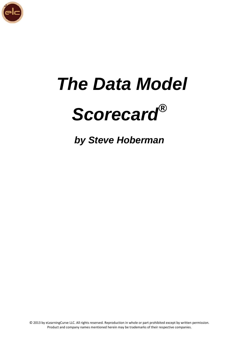

# *The Data Model Scorecard®*

*by Steve Hoberman*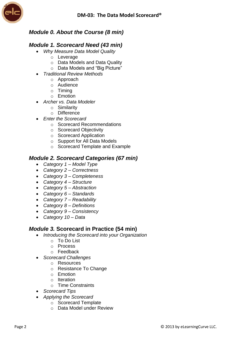

## *Module 0. About the Course (8 min)*

#### *Module 1. Scorecard Need (43 min)*

- *Why Measure Data Model Quality*
	- o Leverage
	- o Data Models and Data Quality
	- o Data Models and "Big Picture"
- *Traditional Review Methods*
	- o Approach
	- o Audience
	- o Timing
	- o Emotion
- *Archer vs. Data Modeler*
	- o Similarity
	- o Difference
- *Enter the Scorecard*
	- o Scorecard Recommendations
	- o Scorecard Objectivity
	- o Scorecard Application
	- o Support for All Data Models
	- o Scorecard Template and Example

#### *Module 2. Scorecard Categories (67 min)*

- *Category 1 – Model Type*
- *Category 2 – Correctness*
- *Category 3 – Completeness*
- *Category 4 – Structure*
- *Category 5 – Abstraction*
- *Category 6 – Standards*
- *Category 7 – Readability*
- *Category 8 – Definitions*
- *Category 9 – Consistency*
- *Category 10 – Data*

### *Module 3.* **Scorecard in Practice (54 min)**

- *Introducing the Scorecard into your Organization*
	- o To Do List
	- o Process
	- o Feedback
- *Scorecard Challenges*
	- o Resources
	- o Resistance To Change
	- o Emotion
	- o Iteration
	- o Time Constraints
- *Scorecard Tips*
- *Applying the Scorecard*
	- o Scorecard Template
	- o Data Model under Review